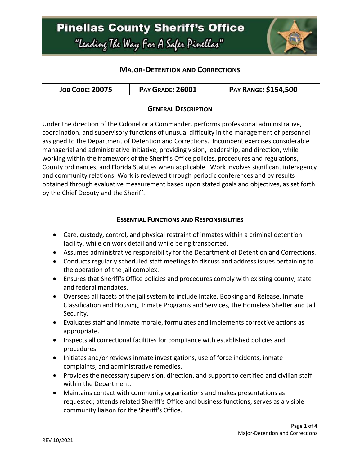## **Pinellas County Sheriff's Office** "Leading The Way For A Safer Pinellar"



### **MAJOR-DETENTION AND CORRECTIONS**

| <b>JOB CODE: 20075</b> | <b>PAY GRADE: 26001</b> | <b>PAY RANGE: \$154,500</b> |
|------------------------|-------------------------|-----------------------------|
|------------------------|-------------------------|-----------------------------|

#### **GENERAL DESCRIPTION**

Under the direction of the Colonel or a Commander, performs professional administrative, coordination, and supervisory functions of unusual difficulty in the management of personnel assigned to the Department of Detention and Corrections. Incumbent exercises considerable managerial and administrative initiative, providing vision, leadership, and direction, while working within the framework of the Sheriff's Office policies, procedures and regulations, County ordinances, and Florida Statutes when applicable. Work involves significant interagency and community relations. Work is reviewed through periodic conferences and by results obtained through evaluative measurement based upon stated goals and objectives, as set forth by the Chief Deputy and the Sheriff.

#### **ESSENTIAL FUNCTIONS AND RESPONSIBILITIES**

- Care, custody, control, and physical restraint of inmates within a criminal detention facility, while on work detail and while being transported.
- Assumes administrative responsibility for the Department of Detention and Corrections.
- Conducts regularly scheduled staff meetings to discuss and address issues pertaining to the operation of the jail complex.
- Ensures that Sheriff's Office policies and procedures comply with existing county, state and federal mandates.
- Oversees all facets of the jail system to include Intake, Booking and Release, Inmate Classification and Housing, Inmate Programs and Services, the Homeless Shelter and Jail Security.
- Evaluates staff and inmate morale, formulates and implements corrective actions as appropriate.
- Inspects all correctional facilities for compliance with established policies and procedures.
- Initiates and/or reviews inmate investigations, use of force incidents, inmate complaints, and administrative remedies.
- Provides the necessary supervision, direction, and support to certified and civilian staff within the Department.
- Maintains contact with community organizations and makes presentations as requested; attends related Sheriff's Office and business functions; serves as a visible community liaison for the Sheriff's Office.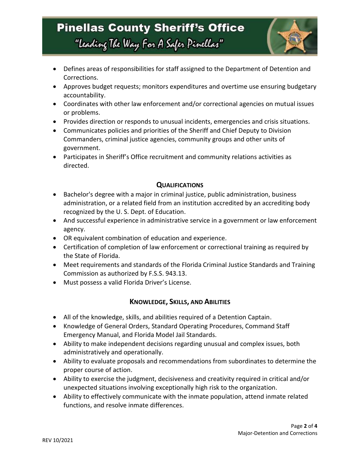# **Pinellas County Sheriff's Office** "Leading The Way For A Safer Pinellar"



- Defines areas of responsibilities for staff assigned to the Department of Detention and Corrections.
- Approves budget requests; monitors expenditures and overtime use ensuring budgetary accountability.
- Coordinates with other law enforcement and/or correctional agencies on mutual issues or problems.
- Provides direction or responds to unusual incidents, emergencies and crisis situations.
- Communicates policies and priorities of the Sheriff and Chief Deputy to Division Commanders, criminal justice agencies, community groups and other units of government.
- Participates in Sheriff's Office recruitment and community relations activities as directed.

#### **QUALIFICATIONS**

- Bachelor's degree with a major in criminal justice, public administration, business administration, or a related field from an institution accredited by an accrediting body recognized by the U. S. Dept. of Education.
- And successful experience in administrative service in a government or law enforcement agency.
- OR equivalent combination of education and experience.
- Certification of completion of law enforcement or correctional training as required by the State of Florida.
- Meet requirements and standards of the Florida Criminal Justice Standards and Training Commission as authorized by F.S.S. 943.13.
- Must possess a valid Florida Driver's License.

### **KNOWLEDGE, SKILLS, AND ABILITIES**

- All of the knowledge, skills, and abilities required of a Detention Captain.
- Knowledge of General Orders, Standard Operating Procedures, Command Staff Emergency Manual, and Florida Model Jail Standards.
- Ability to make independent decisions regarding unusual and complex issues, both administratively and operationally.
- Ability to evaluate proposals and recommendations from subordinates to determine the proper course of action.
- Ability to exercise the judgment, decisiveness and creativity required in critical and/or unexpected situations involving exceptionally high risk to the organization.
- Ability to effectively communicate with the inmate population, attend inmate related functions, and resolve inmate differences.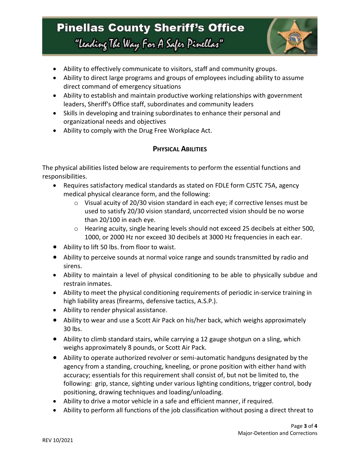# **Pinellas County Sheriff's Office** "Leading The Way For A Safer Pinellar"



- Ability to effectively communicate to visitors, staff and community groups.
- Ability to direct large programs and groups of employees including ability to assume direct command of emergency situations
- Ability to establish and maintain productive working relationships with government leaders, Sheriff's Office staff, subordinates and community leaders
- Skills in developing and training subordinates to enhance their personal and organizational needs and objectives
- Ability to comply with the Drug Free Workplace Act.

## **PHYSICAL ABILITIES**

The physical abilities listed below are requirements to perform the essential functions and responsibilities.

- Requires satisfactory medical standards as stated on FDLE form CJSTC 75A, agency medical physical clearance form, and the following:
	- $\circ$  Visual acuity of 20/30 vision standard in each eye; if corrective lenses must be used to satisfy 20/30 vision standard, uncorrected vision should be no worse than 20/100 in each eye.
	- $\circ$  Hearing acuity, single hearing levels should not exceed 25 decibels at either 500, 1000, or 2000 Hz nor exceed 30 decibels at 3000 Hz frequencies in each ear.
- Ability to lift 50 lbs. from floor to waist.
- Ability to perceive sounds at normal voice range and sounds transmitted by radio and sirens.
- Ability to maintain a level of physical conditioning to be able to physically subdue and restrain inmates.
- Ability to meet the physical conditioning requirements of periodic in-service training in high liability areas (firearms, defensive tactics, A.S.P.).
- Ability to render physical assistance.
- Ability to wear and use a Scott Air Pack on his/her back, which weighs approximately 30 lbs.
- Ability to climb standard stairs, while carrying a 12 gauge shotgun on a sling, which weighs approximately 8 pounds, or Scott Air Pack.
- Ability to operate authorized revolver or semi-automatic handguns designated by the agency from a standing, crouching, kneeling, or prone position with either hand with accuracy; essentials for this requirement shall consist of, but not be limited to, the following: grip, stance, sighting under various lighting conditions, trigger control, body positioning, drawing techniques and loading/unloading.
- Ability to drive a motor vehicle in a safe and efficient manner, if required.
- Ability to perform all functions of the job classification without posing a direct threat to